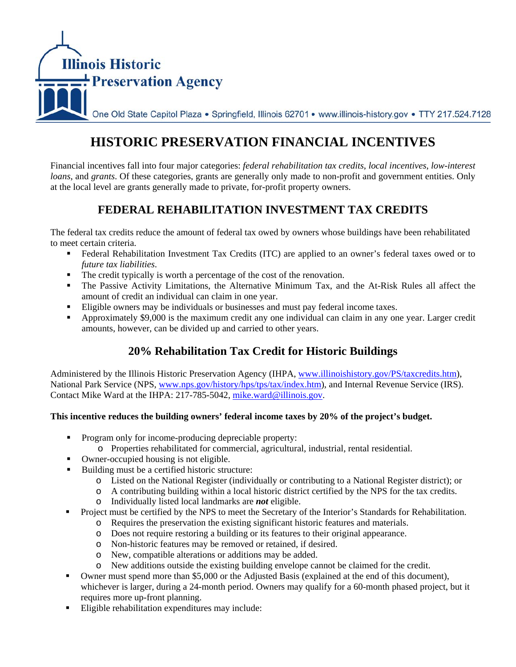

# **HISTORIC PRESERVATION FINANCIAL INCENTIVES**

Financial incentives fall into four major categories: *federal rehabilitation tax credits*, *local incentives*, *low-interest loans*, and *grants*. Of these categories, grants are generally only made to non-profit and government entities. Only at the local level are grants generally made to private, for-profit property owners.

# **FEDERAL REHABILITATION INVESTMENT TAX CREDITS**

The federal tax credits reduce the amount of federal tax owed by owners whose buildings have been rehabilitated to meet certain criteria.

- Federal Rehabilitation Investment Tax Credits (ITC) are applied to an owner's federal taxes owed or to *future tax liabilities*.
- The credit typically is worth a percentage of the cost of the renovation.
- **The Passive Activity Limitations, the Alternative Minimum Tax, and the At-Risk Rules all affect the** amount of credit an individual can claim in one year.
- Eligible owners may be individuals or businesses and must pay federal income taxes.
- Approximately \$9,000 is the maximum credit any one individual can claim in any one year. Larger credit amounts, however, can be divided up and carried to other years.

# **20% Rehabilitation Tax Credit for Historic Buildings**

Administered by the Illinois Historic Preservation Agency (IHPA, www.illinoishistory.gov/PS/taxcredits.htm), National Park Service (NPS, www.nps.gov/history/hps/tps/tax/index.htm), and Internal Revenue Service (IRS). Contact Mike Ward at the IHPA: 217-785-5042, mike.ward@illinois.gov.

### **This incentive reduces the building owners' federal income taxes by 20% of the project's budget.**

- **Program only for income-producing depreciable property:** 
	- o Properties rehabilitated for commercial, agricultural, industrial, rental residential.
- Owner-occupied housing is not eligible.
- Building must be a certified historic structure:
	- o Listed on the National Register (individually or contributing to a National Register district); or
	- o A contributing building within a local historic district certified by the NPS for the tax credits.
	- o Individually listed local landmarks are *not* eligible.
- **Project must be certified by the NPS to meet the Secretary of the Interior's Standards for Rehabilitation.** 
	- o Requires the preservation the existing significant historic features and materials.
	- o Does not require restoring a building or its features to their original appearance.
	- o Non-historic features may be removed or retained, if desired.
	- o New, compatible alterations or additions may be added.
	- o New additions outside the existing building envelope cannot be claimed for the credit.
- Owner must spend more than \$5,000 or the Adjusted Basis (explained at the end of this document), whichever is larger, during a 24-month period. Owners may qualify for a 60-month phased project, but it requires more up-front planning.
- Eligible rehabilitation expenditures may include: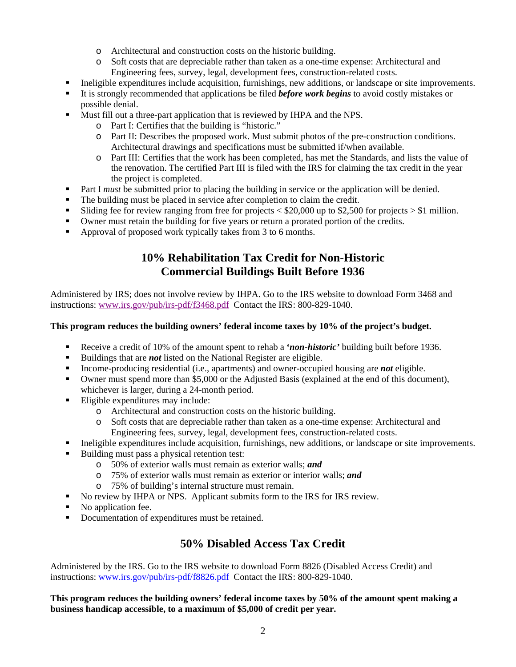- o Architectural and construction costs on the historic building.
- o Soft costs that are depreciable rather than taken as a one-time expense: Architectural and Engineering fees, survey, legal, development fees, construction-related costs.
- Ineligible expenditures include acquisition, furnishings, new additions, or landscape or site improvements.
- It is strongly recommended that applications be filed *before work begins* to avoid costly mistakes or possible denial.
- Must fill out a three-part application that is reviewed by IHPA and the NPS.
	- o Part I: Certifies that the building is "historic."
	- o Part II: Describes the proposed work. Must submit photos of the pre-construction conditions. Architectural drawings and specifications must be submitted if/when available.
	- o Part III: Certifies that the work has been completed, has met the Standards, and lists the value of the renovation. The certified Part III is filed with the IRS for claiming the tax credit in the year the project is completed.
- Part I *must* be submitted prior to placing the building in service or the application will be denied.
- The building must be placed in service after completion to claim the credit.
- Sliding fee for review ranging from free for projects  $\langle $20,000 \rangle$  up to \$2,500 for projects  $> $1 \rangle$  million.
- Owner must retain the building for five years or return a prorated portion of the credits.
- Approval of proposed work typically takes from 3 to 6 months.

# **10% Rehabilitation Tax Credit for Non-Historic Commercial Buildings Built Before 1936**

Administered by IRS; does not involve review by IHPA. Go to the IRS website to download Form 3468 and instructions: www.irs.gov/pub/irs-pdf/f3468.pdf Contact the IRS: 800-829-1040.

### **This program reduces the building owners' federal income taxes by 10% of the project's budget.**

- Receive a credit of 10% of the amount spent to rehab a **'***non-historic'* building built before 1936.
- Buildings that are *not* listed on the National Register are eligible.
- Income-producing residential (i.e., apartments) and owner-occupied housing are *not* eligible.
- Owner must spend more than \$5,000 or the Adjusted Basis (explained at the end of this document), whichever is larger, during a 24-month period.
- Eligible expenditures may include:
	- o Architectural and construction costs on the historic building.
	- o Soft costs that are depreciable rather than taken as a one-time expense: Architectural and Engineering fees, survey, legal, development fees, construction-related costs.
- Ineligible expenditures include acquisition, furnishings, new additions, or landscape or site improvements.
- Building must pass a physical retention test:
	- o 50% of exterior walls must remain as exterior walls; *and*
	- o 75% of exterior walls must remain as exterior or interior walls; *and*
	- o 75% of building's internal structure must remain.
- No review by IHPA or NPS. Applicant submits form to the IRS for IRS review.
- No application fee.
- Documentation of expenditures must be retained.

### **50% Disabled Access Tax Credit**

Administered by the IRS. Go to the IRS website to download Form 8826 (Disabled Access Credit) and instructions: www.irs.gov/pub/irs-pdf/f8826.pdf Contact the IRS: 800-829-1040.

**This program reduces the building owners' federal income taxes by 50% of the amount spent making a business handicap accessible, to a maximum of \$5,000 of credit per year.**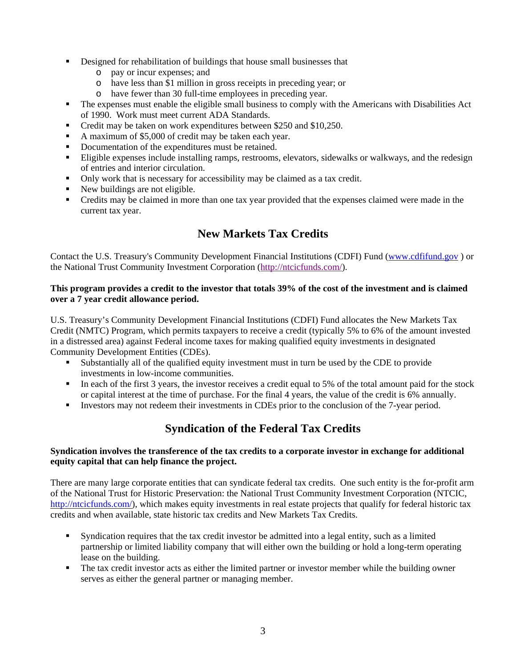- Designed for rehabilitation of buildings that house small businesses that
	- o pay or incur expenses; and
	- o have less than \$1 million in gross receipts in preceding year; or
	- o have fewer than 30 full-time employees in preceding year.
- The expenses must enable the eligible small business to comply with the Americans with Disabilities Act of 1990. Work must meet current ADA Standards.
- Credit may be taken on work expenditures between \$250 and \$10,250.
- A maximum of \$5,000 of credit may be taken each year.
- Documentation of the expenditures must be retained.
- Eligible expenses include installing ramps, restrooms, elevators, sidewalks or walkways, and the redesign of entries and interior circulation.
- Only work that is necessary for accessibility may be claimed as a tax credit.
- New buildings are not eligible.
- Credits may be claimed in more than one tax year provided that the expenses claimed were made in the current tax year.

# **New Markets Tax Credits**

Contact the U.S. Treasury's Community Development Financial Institutions (CDFI) Fund (www.cdfifund.gov ) or the National Trust Community Investment Corporation (http://ntcicfunds.com/).

#### **This program provides a credit to the investor that totals 39% of the cost of the investment and is claimed over a 7 year credit allowance period.**

U.S. Treasury's Community Development Financial Institutions (CDFI) Fund allocates the New Markets Tax Credit (NMTC) Program, which permits taxpayers to receive a credit (typically 5% to 6% of the amount invested in a distressed area) against Federal income taxes for making qualified equity investments in designated Community Development Entities (CDEs).

- Substantially all of the qualified equity investment must in turn be used by the CDE to provide investments in low-income communities.
- In each of the first 3 years, the investor receives a credit equal to 5% of the total amount paid for the stock or capital interest at the time of purchase. For the final 4 years, the value of the credit is 6% annually.
- Investors may not redeem their investments in CDEs prior to the conclusion of the 7-year period.

# **Syndication of the Federal Tax Credits**

### **Syndication involves the transference of the tax credits to a corporate investor in exchange for additional equity capital that can help finance the project.**

There are many large corporate entities that can syndicate federal tax credits. One such entity is the for-profit arm of the National Trust for Historic Preservation: the National Trust Community Investment Corporation (NTCIC, http://ntcicfunds.com/), which makes equity investments in real estate projects that qualify for federal historic tax credits and when available, state historic tax credits and New Markets Tax Credits.

- Syndication requires that the tax credit investor be admitted into a legal entity, such as a limited partnership or limited liability company that will either own the building or hold a long-term operating lease on the building.
- The tax credit investor acts as either the limited partner or investor member while the building owner serves as either the general partner or managing member.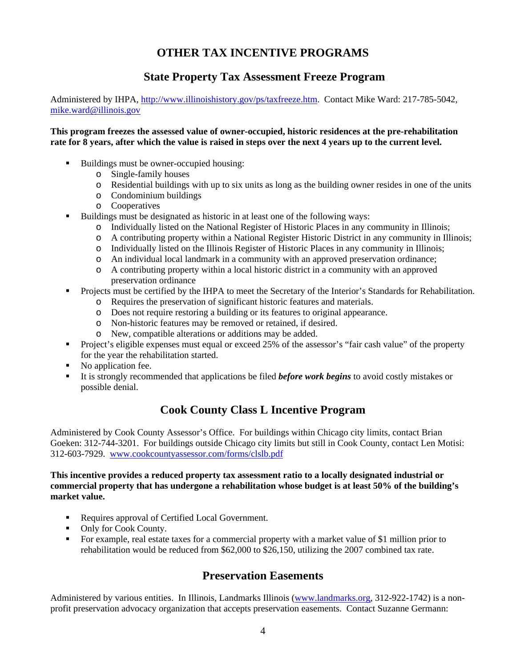# **OTHER TAX INCENTIVE PROGRAMS**

### **State Property Tax Assessment Freeze Program**

Administered by IHPA, http://www.illinoishistory.gov/ps/taxfreeze.htm. Contact Mike Ward: 217-785-5042, mike.ward@illinois.gov

#### **This program freezes the assessed value of owner-occupied, historic residences at the pre-rehabilitation rate for 8 years, after which the value is raised in steps over the next 4 years up to the current level.**

- Buildings must be owner-occupied housing:
	- o Single-family houses
	- o Residential buildings with up to six units as long as the building owner resides in one of the units
	- o Condominium buildings
	- o Cooperatives
- Buildings must be designated as historic in at least one of the following ways:
	- o Individually listed on the National Register of Historic Places in any community in Illinois;
	- o A contributing property within a National Register Historic District in any community in Illinois;
	- o Individually listed on the Illinois Register of Historic Places in any community in Illinois;
	- o An individual local landmark in a community with an approved preservation ordinance;
	- o A contributing property within a local historic district in a community with an approved preservation ordinance
- Projects must be certified by the IHPA to meet the Secretary of the Interior's Standards for Rehabilitation.
	- o Requires the preservation of significant historic features and materials.
	- o Does not require restoring a building or its features to original appearance.
	- o Non-historic features may be removed or retained, if desired.
	- o New, compatible alterations or additions may be added.
- Project's eligible expenses must equal or exceed 25% of the assessor's "fair cash value" of the property for the year the rehabilitation started.
- No application fee.
- It is strongly recommended that applications be filed *before work begins* to avoid costly mistakes or possible denial.

### **Cook County Class L Incentive Program**

Administered by Cook County Assessor's Office. For buildings within Chicago city limits, contact Brian Goeken: 312-744-3201. For buildings outside Chicago city limits but still in Cook County, contact Len Motisi: 312-603-7929. www.cookcountyassessor.com/forms/clslb.pdf

#### **This incentive provides a reduced property tax assessment ratio to a locally designated industrial or commercial property that has undergone a rehabilitation whose budget is at least 50% of the building's market value.**

- Requires approval of Certified Local Government.
- Only for Cook County.
- For example, real estate taxes for a commercial property with a market value of \$1 million prior to rehabilitation would be reduced from \$62,000 to \$26,150, utilizing the 2007 combined tax rate.

### **Preservation Easements**

Administered by various entities. In Illinois, Landmarks Illinois (www.landmarks.org, 312-922-1742) is a nonprofit preservation advocacy organization that accepts preservation easements. Contact Suzanne Germann: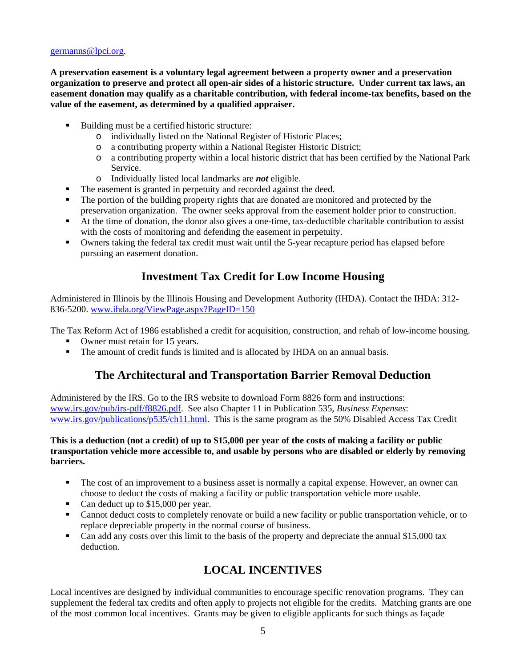#### germanns@lpci.org.

**A preservation easement is a voluntary legal agreement between a property owner and a preservation organization to preserve and protect all open-air sides of a historic structure. Under current tax laws, an easement donation may qualify as a charitable contribution, with federal income-tax benefits, based on the value of the easement, as determined by a qualified appraiser.** 

- Building must be a certified historic structure:
	- o individually listed on the National Register of Historic Places;
	- o a contributing property within a National Register Historic District;
	- o a contributing property within a local historic district that has been certified by the National Park Service.
	- o Individually listed local landmarks are *not* eligible.
	- The easement is granted in perpetuity and recorded against the deed.
- The portion of the building property rights that are donated are monitored and protected by the preservation organization. The owner seeks approval from the easement holder prior to construction.
- At the time of donation, the donor also gives a one-time, tax-deductible charitable contribution to assist with the costs of monitoring and defending the easement in perpetuity.
- Owners taking the federal tax credit must wait until the 5-year recapture period has elapsed before pursuing an easement donation.

### **Investment Tax Credit for Low Income Housing**

Administered in Illinois by the Illinois Housing and Development Authority (IHDA). Contact the IHDA: 312- 836-5200. www.ihda.org/ViewPage.aspx?PageID=150

The Tax Reform Act of 1986 established a credit for acquisition, construction, and rehab of low-income housing.

- Owner must retain for 15 years.
- The amount of credit funds is limited and is allocated by IHDA on an annual basis.

### **The Architectural and Transportation Barrier Removal Deduction**

Administered by the IRS. Go to the IRS website to download Form 8826 form and instructions: www.irs.gov/pub/irs-pdf/f8826.pdf. See also Chapter 11 in Publication 535, *Business Expenses*: www.irs.gov/publications/p535/ch11.html. This is the same program as the 50% Disabled Access Tax Credit

#### **This is a deduction (not a credit) of up to \$15,000 per year of the costs of making a facility or public transportation vehicle more accessible to, and usable by persons who are disabled or elderly by removing barriers.**

- The cost of an improvement to a business asset is normally a capital expense. However, an owner can choose to deduct the costs of making a facility or public transportation vehicle more usable.
- Can deduct up to \$15,000 per year.
- Cannot deduct costs to completely renovate or build a new facility or public transportation vehicle, or to replace depreciable property in the normal course of business.
- Can add any costs over this limit to the basis of the property and depreciate the annual \$15,000 tax deduction.

# **LOCAL INCENTIVES**

Local incentives are designed by individual communities to encourage specific renovation programs. They can supplement the federal tax credits and often apply to projects not eligible for the credits. Matching grants are one of the most common local incentives. Grants may be given to eligible applicants for such things as façade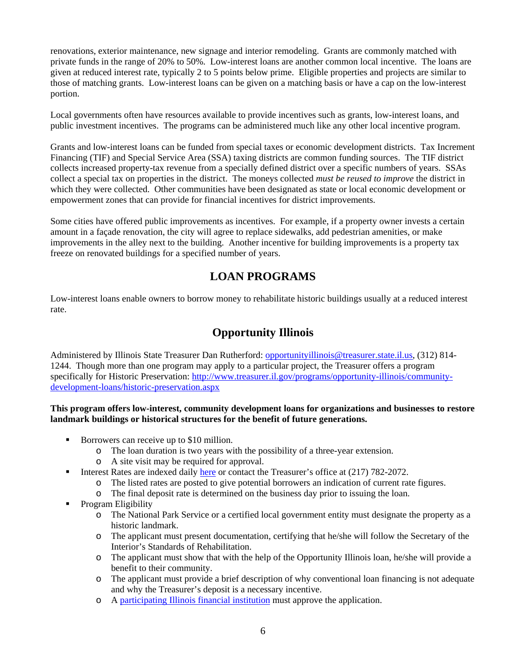renovations, exterior maintenance, new signage and interior remodeling. Grants are commonly matched with private funds in the range of 20% to 50%. Low-interest loans are another common local incentive. The loans are given at reduced interest rate, typically 2 to 5 points below prime. Eligible properties and projects are similar to those of matching grants. Low-interest loans can be given on a matching basis or have a cap on the low-interest portion.

Local governments often have resources available to provide incentives such as grants, low-interest loans, and public investment incentives. The programs can be administered much like any other local incentive program.

Grants and low-interest loans can be funded from special taxes or economic development districts. Tax Increment Financing (TIF) and Special Service Area (SSA) taxing districts are common funding sources. The TIF district collects increased property-tax revenue from a specially defined district over a specific numbers of years. SSAs collect a special tax on properties in the district. The moneys collected *must be reused to improve* the district in which they were collected. Other communities have been designated as state or local economic development or empowerment zones that can provide for financial incentives for district improvements.

Some cities have offered public improvements as incentives. For example, if a property owner invests a certain amount in a façade renovation, the city will agree to replace sidewalks, add pedestrian amenities, or make improvements in the alley next to the building. Another incentive for building improvements is a property tax freeze on renovated buildings for a specified number of years.

# **LOAN PROGRAMS**

Low-interest loans enable owners to borrow money to rehabilitate historic buildings usually at a reduced interest rate.

# **Opportunity Illinois**

Administered by Illinois State Treasurer Dan Rutherford: opportunityillinois@treasurer.state.il.us, (312) 814-1244. Though more than one program may apply to a particular project, the Treasurer offers a program specifically for Historic Preservation: http://www.treasurer.il.gov/programs/opportunity-illinois/communitydevelopment-loans/historic-preservation.aspx

### **This program offers low-interest, community development loans for organizations and businesses to restore landmark buildings or historical structures for the benefit of future generations.**

- Borrowers can receive up to \$10 million.
	- o The loan duration is two years with the possibility of a three-year extension.
	- o A site visit may be required for approval.
- Interest Rates are indexed daily here or contact the Treasurer's office at (217) 782-2072.
	- o The listed rates are posted to give potential borrowers an indication of current rate figures.
	- o The final deposit rate is determined on the business day prior to issuing the loan.
- Program Eligibility
	- o The National Park Service or a certified local government entity must designate the property as a historic landmark.
	- o The applicant must present documentation, certifying that he/she will follow the Secretary of the Interior's Standards of Rehabilitation.
	- o The applicant must show that with the help of the Opportunity Illinois loan, he/she will provide a benefit to their community.
	- o The applicant must provide a brief description of why conventional loan financing is not adequate and why the Treasurer's deposit is a necessary incentive.
	- o A participating Illinois financial institution must approve the application.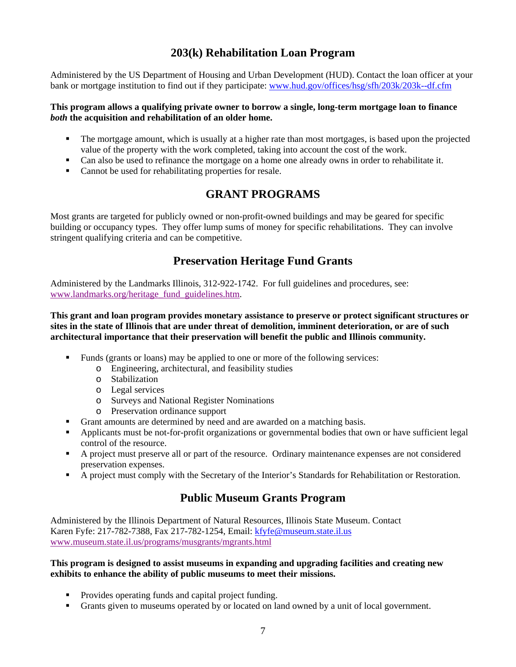# **203(k) Rehabilitation Loan Program**

Administered by the US Department of Housing and Urban Development (HUD). Contact the loan officer at your bank or mortgage institution to find out if they participate: www.hud.gov/offices/hsg/sfh/203k/203k--df.cfm

#### **This program allows a qualifying private owner to borrow a single, long-term mortgage loan to finance**  *both* **the acquisition and rehabilitation of an older home.**

- The mortgage amount, which is usually at a higher rate than most mortgages, is based upon the projected value of the property with the work completed, taking into account the cost of the work.
- Can also be used to refinance the mortgage on a home one already owns in order to rehabilitate it.
- Cannot be used for rehabilitating properties for resale.

# **GRANT PROGRAMS**

Most grants are targeted for publicly owned or non-profit-owned buildings and may be geared for specific building or occupancy types. They offer lump sums of money for specific rehabilitations. They can involve stringent qualifying criteria and can be competitive.

# **Preservation Heritage Fund Grants**

Administered by the Landmarks Illinois, 312-922-1742. For full guidelines and procedures, see: www.landmarks.org/heritage\_fund\_guidelines.htm.

**This grant and loan program provides monetary assistance to preserve or protect significant structures or sites in the state of Illinois that are under threat of demolition, imminent deterioration, or are of such architectural importance that their preservation will benefit the public and Illinois community.** 

- Funds (grants or loans) may be applied to one or more of the following services:
	- o Engineering, architectural, and feasibility studies
	- o Stabilization
	- o Legal services
	- o Surveys and National Register Nominations
	- o Preservation ordinance support
- Grant amounts are determined by need and are awarded on a matching basis.
- Applicants must be not-for-profit organizations or governmental bodies that own or have sufficient legal control of the resource.
- A project must preserve all or part of the resource. Ordinary maintenance expenses are not considered preservation expenses.
- A project must comply with the Secretary of the Interior's Standards for Rehabilitation or Restoration.

### **Public Museum Grants Program**

Administered by the Illinois Department of Natural Resources, Illinois State Museum. Contact Karen Fyfe: 217-782-7388, Fax 217-782-1254, Email: kfyfe@museum.state.il.us www.museum.state.il.us/programs/musgrants/mgrants.html

#### **This program is designed to assist museums in expanding and upgrading facilities and creating new exhibits to enhance the ability of public museums to meet their missions.**

- Provides operating funds and capital project funding.
- Grants given to museums operated by or located on land owned by a unit of local government.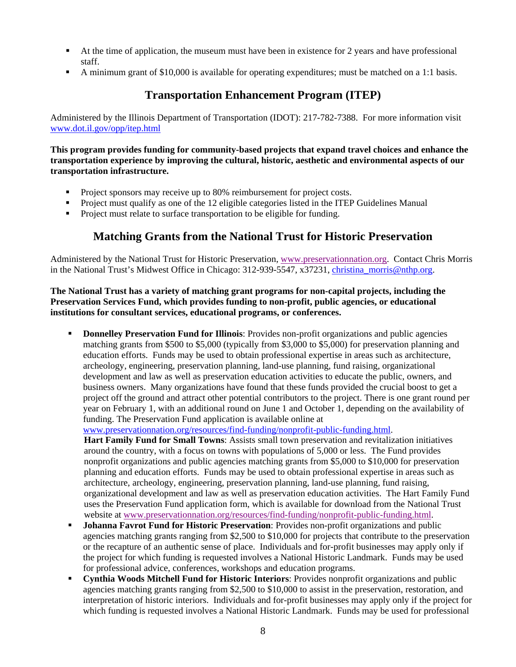- At the time of application, the museum must have been in existence for 2 years and have professional staff.
- A minimum grant of \$10,000 is available for operating expenditures; must be matched on a 1:1 basis.

### **Transportation Enhancement Program (ITEP)**

Administered by the Illinois Department of Transportation (IDOT): 217-782-7388. For more information visit www.dot.il.gov/opp/itep.html

**This program provides funding for community-based projects that expand travel choices and enhance the transportation experience by improving the cultural, historic, aesthetic and environmental aspects of our transportation infrastructure.** 

- **Project sponsors may receive up to 80% reimbursement for project costs.**
- **Project must qualify as one of the 12 eligible categories listed in the ITEP Guidelines Manual**
- Project must relate to surface transportation to be eligible for funding.

### **Matching Grants from the National Trust for Historic Preservation**

Administered by the National Trust for Historic Preservation, www.preservationnation.org. Contact Chris Morris in the National Trust's Midwest Office in Chicago: 312-939-5547, x37231, christina morris@nthp.org.

**The National Trust has a variety of matching grant programs for non-capital projects, including the Preservation Services Fund, which provides funding to non-profit, public agencies, or educational institutions for consultant services, educational programs, or conferences.** 

 **Donnelley Preservation Fund for Illinois**: Provides non-profit organizations and public agencies matching grants from \$500 to \$5,000 (typically from \$3,000 to \$5,000) for preservation planning and education efforts. Funds may be used to obtain professional expertise in areas such as architecture, archeology, engineering, preservation planning, land-use planning, fund raising, organizational development and law as well as preservation education activities to educate the public, owners, and business owners. Many organizations have found that these funds provided the crucial boost to get a project off the ground and attract other potential contributors to the project. There is one grant round per year on February 1, with an additional round on June 1 and October 1, depending on the availability of funding. The Preservation Fund application is available online at

www.preservationnation.org/resources/find-funding/nonprofit-public-funding.html.

**Hart Family Fund for Small Towns**: Assists small town preservation and revitalization initiatives around the country, with a focus on towns with populations of 5,000 or less. The Fund provides nonprofit organizations and public agencies matching grants from \$5,000 to \$10,000 for preservation planning and education efforts. Funds may be used to obtain professional expertise in areas such as architecture, archeology, engineering, preservation planning, land-use planning, fund raising, organizational development and law as well as preservation education activities. The Hart Family Fund uses the Preservation Fund application form, which is available for download from the National Trust website at www.preservationnation.org/resources/find-funding/nonprofit-public-funding.html.

- **Johanna Favrot Fund for Historic Preservation**: Provides non-profit organizations and public agencies matching grants ranging from \$2,500 to \$10,000 for projects that contribute to the preservation or the recapture of an authentic sense of place. Individuals and for-profit businesses may apply only if the project for which funding is requested involves a National Historic Landmark. Funds may be used for professional advice, conferences, workshops and education programs.
- **Cynthia Woods Mitchell Fund for Historic Interiors**: Provides nonprofit organizations and public agencies matching grants ranging from \$2,500 to \$10,000 to assist in the preservation, restoration, and interpretation of historic interiors. Individuals and for-profit businesses may apply only if the project for which funding is requested involves a National Historic Landmark. Funds may be used for professional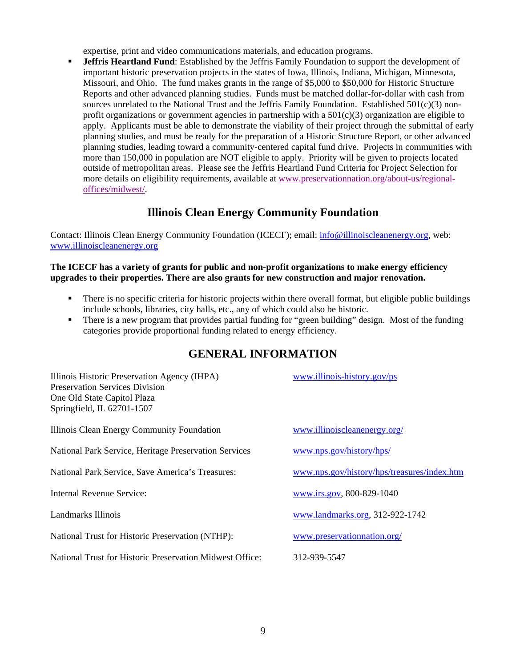expertise, print and video communications materials, and education programs.

 **Jeffris Heartland Fund**: Established by the Jeffris Family Foundation to support the development of important historic preservation projects in the states of Iowa, Illinois, Indiana, Michigan, Minnesota, Missouri, and Ohio. The fund makes grants in the range of \$5,000 to \$50,000 for Historic Structure Reports and other advanced planning studies. Funds must be matched dollar-for-dollar with cash from sources unrelated to the National Trust and the Jeffris Family Foundation. Established 501(c)(3) nonprofit organizations or government agencies in partnership with a  $501(c)(3)$  organization are eligible to apply. Applicants must be able to demonstrate the viability of their project through the submittal of early planning studies, and must be ready for the preparation of a Historic Structure Report, or other advanced planning studies, leading toward a community-centered capital fund drive. Projects in communities with more than 150,000 in population are NOT eligible to apply. Priority will be given to projects located outside of metropolitan areas. Please see the Jeffris Heartland Fund Criteria for Project Selection for more details on eligibility requirements, available at www.preservationnation.org/about-us/regionaloffices/midwest/.

### **Illinois Clean Energy Community Foundation**

Contact: Illinois Clean Energy Community Foundation (ICECF); email: info@illinoiscleanenergy.org, web: www.illinoiscleanenergy.org

#### **The ICECF has a variety of grants for public and non-profit organizations to make energy efficiency upgrades to their properties. There are also grants for new construction and major renovation.**

- There is no specific criteria for historic projects within there overall format, but eligible public buildings include schools, libraries, city halls, etc., any of which could also be historic.
- There is a new program that provides partial funding for "green building" design. Most of the funding categories provide proportional funding related to energy efficiency.

# **GENERAL INFORMATION**

| Illinois Historic Preservation Agency (IHPA)<br><b>Preservation Services Division</b><br>One Old State Capitol Plaza<br>Springfield, IL 62701-1507 | www.illinois-history.gov/ps                 |
|----------------------------------------------------------------------------------------------------------------------------------------------------|---------------------------------------------|
| Illinois Clean Energy Community Foundation                                                                                                         | www.illinoiscleanenergy.org/                |
| National Park Service, Heritage Preservation Services                                                                                              | www.nps.gov/history/hps/                    |
| National Park Service, Save America's Treasures:                                                                                                   | www.nps.gov/history/hps/treasures/index.htm |
| Internal Revenue Service:                                                                                                                          | www.irs.gov, 800-829-1040                   |
| Landmarks Illinois                                                                                                                                 | www.landmarks.org, 312-922-1742             |
| National Trust for Historic Preservation (NTHP):                                                                                                   | www.preservationnation.org/                 |
| National Trust for Historic Preservation Midwest Office:                                                                                           | 312-939-5547                                |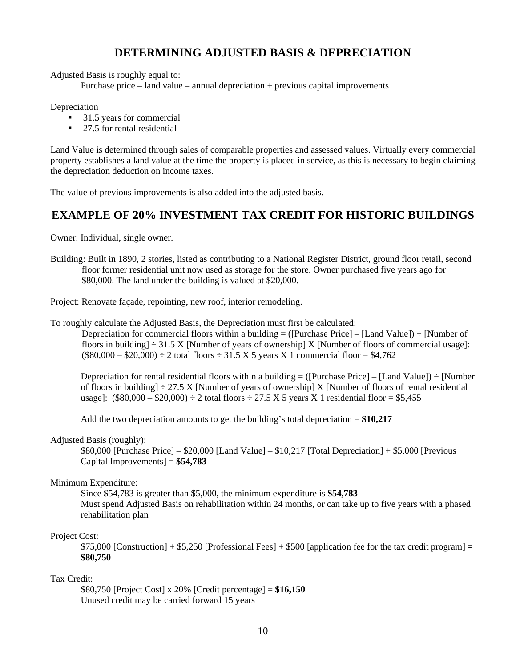### **DETERMINING ADJUSTED BASIS & DEPRECIATION**

Adjusted Basis is roughly equal to:

Purchase price – land value – annual depreciation + previous capital improvements

**Depreciation** 

- 31.5 years for commercial
- 27.5 for rental residential

Land Value is determined through sales of comparable properties and assessed values. Virtually every commercial property establishes a land value at the time the property is placed in service, as this is necessary to begin claiming the depreciation deduction on income taxes.

The value of previous improvements is also added into the adjusted basis.

### **EXAMPLE OF 20% INVESTMENT TAX CREDIT FOR HISTORIC BUILDINGS**

Owner: Individual, single owner.

Building: Built in 1890, 2 stories, listed as contributing to a National Register District, ground floor retail, second floor former residential unit now used as storage for the store. Owner purchased five years ago for \$80,000. The land under the building is valued at \$20,000.

Project: Renovate façade, repointing, new roof, interior remodeling.

To roughly calculate the Adjusted Basis, the Depreciation must first be calculated:

Depreciation for commercial floors within a building  $=$  ([Purchase Price] – [Land Value])  $\div$  [Number of floors in building]  $\div 31.5$  X [Number of years of ownership] X [Number of floors of commercial usage]:  $($80,000 - $20,000) \div 2$  total floors  $\div 31.5$  X 5 years X 1 commercial floor = \$4,762

Depreciation for rental residential floors within a building  $= (Purchase Price] - [Land Value]) \div [Number]$ of floors in building]  $\div$  27.5 X [Number of years of ownership] X [Number of floors of rental residential usage]:  $(\$80,000 - \$20,000) \div 2$  total floors  $\div 27.5$  X 5 years X 1 residential floor = \$5,455

Add the two depreciation amounts to get the building's total depreciation = **\$10,217** 

#### Adjusted Basis (roughly):

\$80,000 [Purchase Price] – \$20,000 [Land Value] – \$10,217 [Total Depreciation] + \$5,000 [Previous Capital Improvements] = **\$54,783** 

#### Minimum Expenditure:

Since \$54,783 is greater than \$5,000, the minimum expenditure is **\$54,783**  Must spend Adjusted Basis on rehabilitation within 24 months, or can take up to five years with a phased rehabilitation plan

#### Project Cost:

\$75,000 [Construction] + \$5,250 [Professional Fees] + \$500 [application fee for the tax credit program] **= \$80,750** 

### Tax Credit:

\$80,750 [Project Cost] x 20% [Credit percentage] = **\$16,150**  Unused credit may be carried forward 15 years